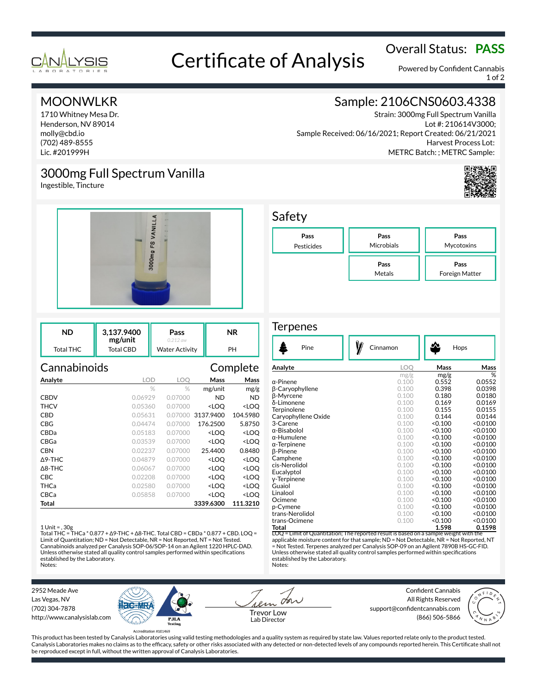

# Overall Status: **PASS**<br>Certificate of Analysis

Powered by Confident Cannabis 1 of 2

# MOONWLKR

1710 Whitney Mesa Dr. Henderson, NV 89014 molly@cbd.io (702) 489-8555 Lic. #201999H

# 3000mg Full Spectrum Vanilla

Ingestible, Tincture



| ND        | 3.137.9400<br>mg/unit | Pass<br>0 212 aw      | ΝR |
|-----------|-----------------------|-----------------------|----|
| Total THC | Total CBD             | <b>Water Activity</b> | PН |

### Cannabinoids Complete

| Analyte        | <b>LOD</b> | <b>LOO</b> | Mass                                            | Mass                |
|----------------|------------|------------|-------------------------------------------------|---------------------|
|                | %          | $\%$       | mg/unit                                         | mg/g                |
| <b>CBDV</b>    | 0.06929    | 0.07000    | ND.                                             | <b>ND</b>           |
| THCV           | 0.05360    | 0.07000    | <loq< th=""><th><loq< th=""></loq<></th></loq<> | <loq< th=""></loq<> |
| CBD            | 0.05631    | 0.07000    | 3137.9400                                       | 104.5980            |
| <b>CBG</b>     | 0.04474    | 0.07000    | 176.2500                                        | 5.8750              |
| CBDa           | 0.05183    | 0.07000    | <loo< th=""><th><loo< th=""></loo<></th></loo<> | <loo< th=""></loo<> |
| CBGa           | 0.03539    | 0.07000    | <loo< th=""><th><loo< th=""></loo<></th></loo<> | <loo< th=""></loo<> |
| CBN            | 0.02237    | 0.07000    | 25.4400                                         | 0.8480              |
| $\Delta$ 9-THC | 0.04879    | 0.07000    | <loq< th=""><th><loq< th=""></loq<></th></loq<> | <loq< th=""></loq<> |
| $\Delta$ 8-THC | 0.06067    | 0.07000    | <loo< th=""><th><loq< th=""></loq<></th></loo<> | <loq< th=""></loq<> |
| CBC            | 0.02208    | 0.07000    | <loo< th=""><th><loq< th=""></loq<></th></loo<> | <loq< th=""></loq<> |
| THCa           | 0.02580    | 0.07000    | <loq< th=""><th><loq< th=""></loq<></th></loq<> | <loq< th=""></loq<> |
| CBCa           | 0.05858    | 0.07000    | <loo< th=""><th><loq< th=""></loq<></th></loo<> | <loq< th=""></loq<> |
| Total          |            |            | 3339.6300                                       | 111.3210            |

#### 1 Unit = , 30g

Total THC = THCa \* 0.877 + ∆9-THC + ∆8-THC. Total CBD = CBDa \* 0.877 + CBD. LOQ = Limit of Quantitation; ND = Not Detectable, NR = Not Reported, NT = Not Tested. Cannabinoids analyzed per Canalysis SOP-06/SOP-14 on an Agilent 1220 HPLC-DAD. Unless otherwise stated all quality control samples performed within specifications established by the Laboratory. Notes:

# Sample: 2106CNS0603.4338

Strain: 3000mg Full Spectrum Vanilla Lot #: 210614V3000; Sample Received: 06/16/2021; Report Created: 06/21/2021 Harvest Process Lot: METRC Batch: ; METRC Sample:



# Safety



#### **Terpenes**

| Pine                | Cinnamon                                                                              | Hops    |                 |
|---------------------|---------------------------------------------------------------------------------------|---------|-----------------|
| Analyte             | LOO                                                                                   | Mass    | Mass            |
|                     | mg/g                                                                                  | mg/g    | $\overline{\%}$ |
| α-Pinene            | 0.100                                                                                 | 0.552   | 0.0552          |
| β-Caryophyllene     | 0.100                                                                                 | 0.398   | 0.0398          |
| <b>B-Myrcene</b>    | 0.100                                                                                 | 0.180   | 0.0180          |
| δ-Limonene          | 0.100                                                                                 | 0.169   | 0.0169          |
| Terpinolene         | 0.100                                                                                 | 0.155   | 0.0155          |
| Caryophyllene Oxide | 0.100                                                                                 | 0.144   | 0.0144          |
| 3-Carene            | 0.100                                                                                 | < 0.100 | < 0.0100        |
| α-Bisabolol         | 0.100                                                                                 | < 0.100 | < 0.0100        |
| $\alpha$ -Humulene  | 0.100                                                                                 | < 0.100 | < 0.0100        |
| $\alpha$ -Terpinene | 0.100                                                                                 | < 0.100 | < 0.0100        |
| <b>B-Pinene</b>     | 0.100                                                                                 | < 0.100 | < 0.0100        |
| Camphene            | 0.100                                                                                 | < 0.100 | < 0.0100        |
| cis-Nerolidol       | 0.100                                                                                 | < 0.100 | < 0.0100        |
| Eucalyptol          | 0.100                                                                                 | < 0.100 | < 0.0100        |
| y-Terpinene         | 0.100                                                                                 | < 0.100 | < 0.0100        |
| Guaiol              | 0.100                                                                                 | < 0.100 | < 0.0100        |
| Linalool            | 0.100                                                                                 | < 0.100 | < 0.0100        |
| Ocimene             | 0.100                                                                                 | < 0.100 | < 0.0100        |
| p-Cymene            | 0.100                                                                                 | < 0.100 | < 0.0100        |
| trans-Nerolidol     | 0.100                                                                                 | < 0.100 | < 0.0100        |
| trans-Ocimene       | 0.100                                                                                 | < 0.100 | < 0.0100        |
| Total               |                                                                                       | 1.598   | 0.1598          |
|                     | LOQ = Limit of Quantitation; The reported result is based on a sample weight with the |         |                 |

applicable moisture content for that sample; ND = Not Detectable, NR = Not Reported, NT = Not Tested. Terpenes analyzed per Canalysis SOP-09 on an Agilent 7890B HS-GC-FID. Unless otherwise stated all quality control samples performed within specifications established by the Laboratory. Notes:

2952 Meade Ave Las Vegas, NV (702) 304-7878 http://www.canalysislab.com



on Lab Director

Confident Cannabis All Rights Reserved support@confidentcannabis.com Support@commentealmabis.com<br>| 1 ab Director (866) 506-5866



This product has been tested by Canalysis Laboratories using valid testing methodologies and a quality system as required by state law. Values reported relate only to the product tested. Canalysis Laboratories makes no claims as to the efficacy, safety or other risks associated with any detected or non-detected levels of any compounds reported herein. This Certificate shall not be reproduced except in full, without the written approval of Canalysis Laboratories.